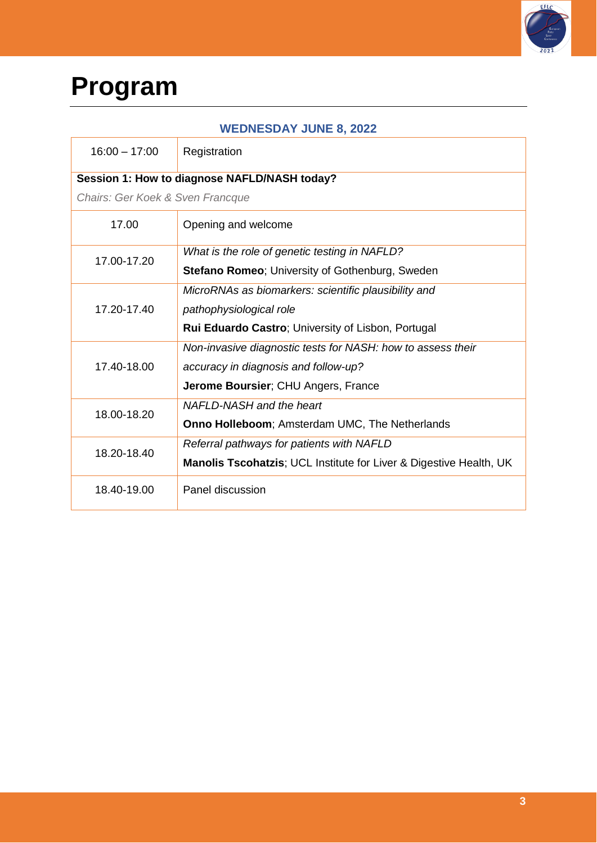

## **Program**

| <b>WEDNESDAY JUNE 8, 2022</b>    |                                                                               |  |
|----------------------------------|-------------------------------------------------------------------------------|--|
| $16:00 - 17:00$                  | Registration                                                                  |  |
|                                  | Session 1: How to diagnose NAFLD/NASH today?                                  |  |
| Chairs: Ger Koek & Sven Francque |                                                                               |  |
| 17.00                            | Opening and welcome                                                           |  |
| 17.00-17.20                      | What is the role of genetic testing in NAFLD?                                 |  |
|                                  | <b>Stefano Romeo</b> ; University of Gothenburg, Sweden                       |  |
|                                  | MicroRNAs as biomarkers: scientific plausibility and                          |  |
| 17.20-17.40                      | pathophysiological role                                                       |  |
|                                  | <b>Rui Eduardo Castro; University of Lisbon, Portugal</b>                     |  |
|                                  | Non-invasive diagnostic tests for NASH: how to assess their                   |  |
| 17.40-18.00                      | accuracy in diagnosis and follow-up?                                          |  |
|                                  | Jerome Boursier; CHU Angers, France                                           |  |
| 18.00-18.20                      | NAFLD-NASH and the heart                                                      |  |
|                                  | Onno Holleboom; Amsterdam UMC, The Netherlands                                |  |
| 18.20-18.40                      | Referral pathways for patients with NAFLD                                     |  |
|                                  | <b>Manolis Tscohatzis; UCL Institute for Liver &amp; Digestive Health, UK</b> |  |
| 18.40-19.00                      | Panel discussion                                                              |  |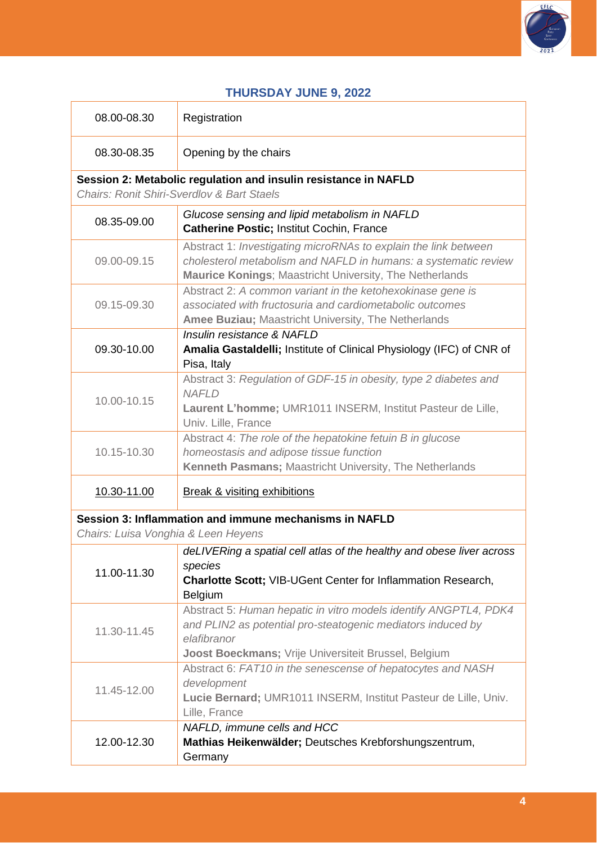

## **THURSDAY JUNE 9, 2022**

| 08.00-08.30                                                                                   | Registration                                                                                                                                                                                           |  |
|-----------------------------------------------------------------------------------------------|--------------------------------------------------------------------------------------------------------------------------------------------------------------------------------------------------------|--|
| 08.30-08.35                                                                                   | Opening by the chairs                                                                                                                                                                                  |  |
| Session 2: Metabolic regulation and insulin resistance in NAFLD                               |                                                                                                                                                                                                        |  |
|                                                                                               | <b>Chairs: Ronit Shiri-Sverdlov &amp; Bart Staels</b>                                                                                                                                                  |  |
| 08.35-09.00                                                                                   | Glucose sensing and lipid metabolism in NAFLD<br><b>Catherine Postic; Institut Cochin, France</b>                                                                                                      |  |
| 09.00-09.15                                                                                   | Abstract 1: Investigating microRNAs to explain the link between<br>cholesterol metabolism and NAFLD in humans: a systematic review<br><b>Maurice Konings; Maastricht University, The Netherlands</b>   |  |
| 09.15-09.30                                                                                   | Abstract 2: A common variant in the ketohexokinase gene is<br>associated with fructosuria and cardiometabolic outcomes<br>Amee Buziau; Maastricht University, The Netherlands                          |  |
| 09.30-10.00                                                                                   | Insulin resistance & NAFLD<br>Amalia Gastaldelli; Institute of Clinical Physiology (IFC) of CNR of<br>Pisa, Italy                                                                                      |  |
| 10.00-10.15                                                                                   | Abstract 3: Regulation of GDF-15 in obesity, type 2 diabetes and<br><b>NAFLD</b><br>Laurent L'homme; UMR1011 INSERM, Institut Pasteur de Lille,<br>Univ. Lille, France                                 |  |
| 10.15-10.30                                                                                   | Abstract 4: The role of the hepatokine fetuin B in glucose<br>homeostasis and adipose tissue function<br>Kenneth Pasmans; Maastricht University, The Netherlands                                       |  |
| 10.30-11.00                                                                                   | <b>Break &amp; visiting exhibitions</b>                                                                                                                                                                |  |
| Session 3: Inflammation and immune mechanisms in NAFLD<br>Chairs: Luisa Vonghia & Leen Heyens |                                                                                                                                                                                                        |  |
| 11.00-11.30                                                                                   | deLIVERing a spatial cell atlas of the healthy and obese liver across<br>species<br>Charlotte Scott; VIB-UGent Center for Inflammation Research,<br>Belgium                                            |  |
| 11.30-11.45                                                                                   | Abstract 5: Human hepatic in vitro models identify ANGPTL4, PDK4<br>and PLIN2 as potential pro-steatogenic mediators induced by<br>elafibranor<br>Joost Boeckmans; Vrije Universiteit Brussel, Belgium |  |
| 11.45-12.00                                                                                   | Abstract 6: FAT10 in the senescense of hepatocytes and NASH<br>development<br>Lucie Bernard; UMR1011 INSERM, Institut Pasteur de Lille, Univ.<br>Lille, France                                         |  |
| 12.00-12.30                                                                                   | NAFLD, immune cells and HCC<br>Mathias Heikenwälder; Deutsches Krebforshungszentrum,<br>Germany                                                                                                        |  |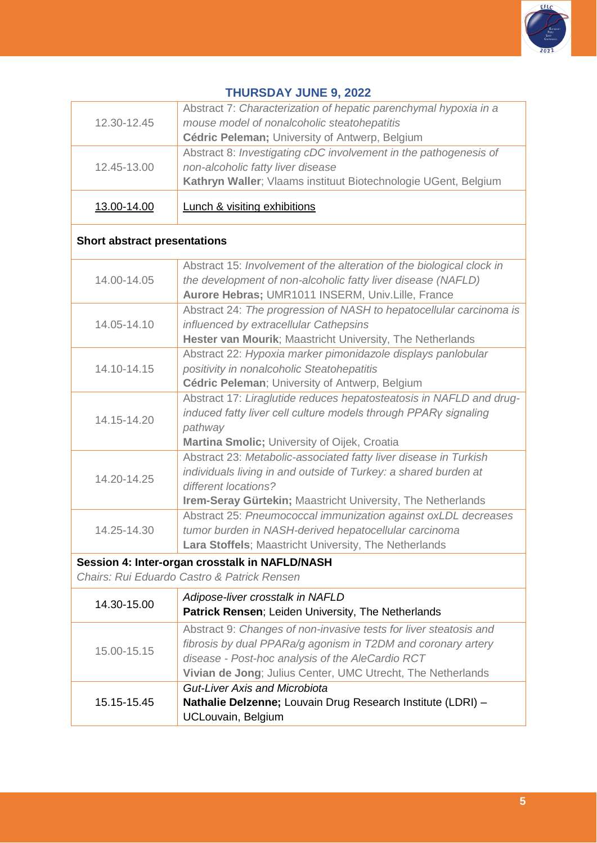

| Abstract 7: Characterization of hepatic parenchymal hypoxia in a<br>mouse model of nonalcoholic steatohepatitis                                                                                                                                      |  |  |
|------------------------------------------------------------------------------------------------------------------------------------------------------------------------------------------------------------------------------------------------------|--|--|
| Cédric Peleman; University of Antwerp, Belgium                                                                                                                                                                                                       |  |  |
| Abstract 8: Investigating cDC involvement in the pathogenesis of<br>non-alcoholic fatty liver disease<br>Kathryn Waller; Vlaams instituut Biotechnologie UGent, Belgium                                                                              |  |  |
| <b>Lunch &amp; visiting exhibitions</b>                                                                                                                                                                                                              |  |  |
| <b>Short abstract presentations</b>                                                                                                                                                                                                                  |  |  |
| Abstract 15: Involvement of the alteration of the biological clock in<br>the development of non-alcoholic fatty liver disease (NAFLD)<br>Aurore Hebras; UMR1011 INSERM, Univ.Lille, France                                                           |  |  |
| Abstract 24: The progression of NASH to hepatocellular carcinoma is<br>influenced by extracellular Cathepsins<br>Hester van Mourik; Maastricht University, The Netherlands                                                                           |  |  |
| Abstract 22: Hypoxia marker pimonidazole displays panlobular<br>positivity in nonalcoholic Steatohepatitis<br>Cédric Peleman; University of Antwerp, Belgium                                                                                         |  |  |
| Abstract 17: Liraglutide reduces hepatosteatosis in NAFLD and drug-<br>induced fatty liver cell culture models through PPARy signaling                                                                                                               |  |  |
| Abstract 23: Metabolic-associated fatty liver disease in Turkish<br>individuals living in and outside of Turkey: a shared burden at                                                                                                                  |  |  |
| Abstract 25: Pneumococcal immunization against oxLDL decreases<br>tumor burden in NASH-derived hepatocellular carcinoma<br>Lara Stoffels; Maastricht University, The Netherlands                                                                     |  |  |
| Session 4: Inter-organ crosstalk in NAFLD/NASH<br>Chairs: Rui Eduardo Castro & Patrick Rensen                                                                                                                                                        |  |  |
| Adipose-liver crosstalk in NAFLD<br>Patrick Rensen; Leiden University, The Netherlands                                                                                                                                                               |  |  |
| Abstract 9: Changes of non-invasive tests for liver steatosis and<br>fibrosis by dual PPARa/g agonism in T2DM and coronary artery<br>disease - Post-hoc analysis of the AleCardio RCT<br>Vivian de Jong; Julius Center, UMC Utrecht, The Netherlands |  |  |
| <b>Gut-Liver Axis and Microbiota</b><br><b>Nathalie Delzenne;</b> Louvain Drug Research Institute (LDRI) -                                                                                                                                           |  |  |
| Martina Smolic; University of Oijek, Croatia<br>Irem-Seray Gürtekin; Maastricht University, The Netherlands                                                                                                                                          |  |  |

## **THURSDAY JUNE 9, 2022**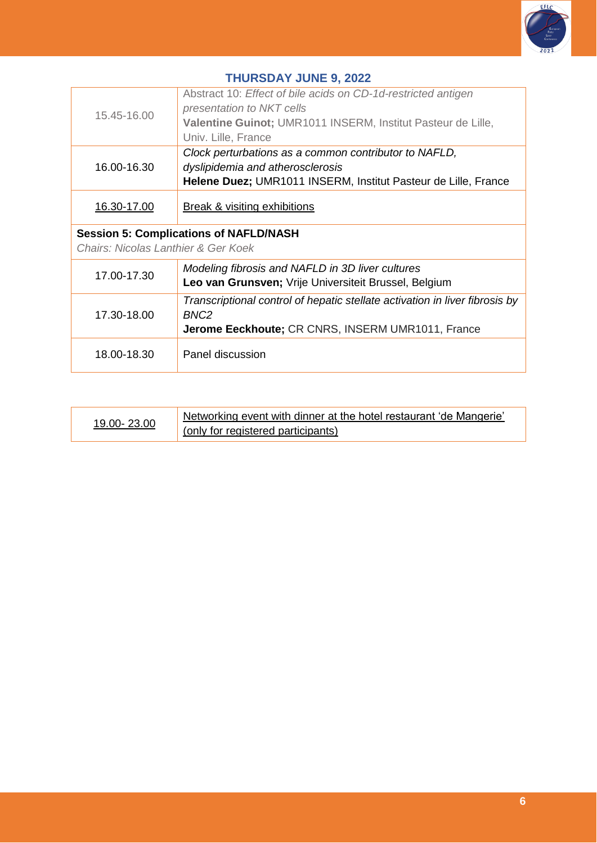

| <b>THURSDAY JUNE 9, 2022</b>                                                         |                                                                                                                                                                                   |  |
|--------------------------------------------------------------------------------------|-----------------------------------------------------------------------------------------------------------------------------------------------------------------------------------|--|
| 15.45-16.00                                                                          | Abstract 10: Effect of bile acids on CD-1d-restricted antigen<br>presentation to NKT cells<br>Valentine Guinot; UMR1011 INSERM, Institut Pasteur de Lille,<br>Univ. Lille, France |  |
| 16.00-16.30                                                                          | Clock perturbations as a common contributor to NAFLD,<br>dyslipidemia and atherosclerosis<br>Helene Duez; UMR1011 INSERM, Institut Pasteur de Lille, France                       |  |
| 16.30-17.00                                                                          | <b>Break &amp; visiting exhibitions</b>                                                                                                                                           |  |
| <b>Session 5: Complications of NAFLD/NASH</b><br>Chairs: Nicolas Lanthier & Ger Koek |                                                                                                                                                                                   |  |
| 17.00-17.30                                                                          | Modeling fibrosis and NAFLD in 3D liver cultures<br>Leo van Grunsven; Vrije Universiteit Brussel, Belgium                                                                         |  |
| 17.30-18.00                                                                          | Transcriptional control of hepatic stellate activation in liver fibrosis by<br>BNC <sub>2</sub><br>Jerome Eeckhoute; CR CNRS, INSERM UMR1011, France                              |  |
| 18.00-18.30                                                                          | Panel discussion                                                                                                                                                                  |  |

| 19.00-23.00 | Networking event with dinner at the hotel restaurant 'de Mangerie' |
|-------------|--------------------------------------------------------------------|
|             | (only for registered participants)                                 |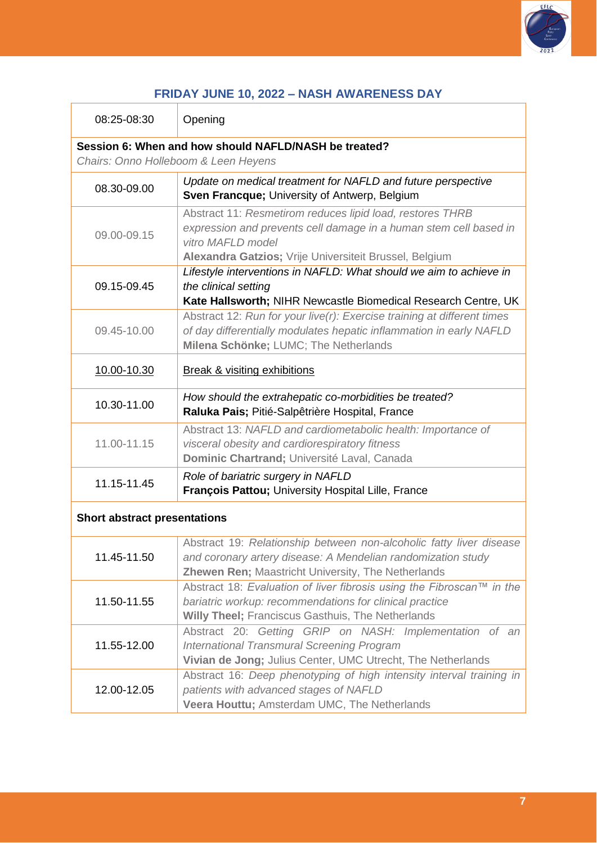

| <b>FRIDAY JUNE 10, 2022 - NASH AWARENESS DAY</b> |
|--------------------------------------------------|
|--------------------------------------------------|

| 08:25-08:30                                                                                   | Opening                                                                                                                                                                                                       |  |
|-----------------------------------------------------------------------------------------------|---------------------------------------------------------------------------------------------------------------------------------------------------------------------------------------------------------------|--|
| Session 6: When and how should NAFLD/NASH be treated?<br>Chairs: Onno Holleboom & Leen Heyens |                                                                                                                                                                                                               |  |
| 08.30-09.00                                                                                   | Update on medical treatment for NAFLD and future perspective<br>Sven Francque; University of Antwerp, Belgium                                                                                                 |  |
| 09.00-09.15                                                                                   | Abstract 11: Resmetirom reduces lipid load, restores THRB<br>expression and prevents cell damage in a human stem cell based in<br>vitro MAFLD model<br>Alexandra Gatzios; Vrije Universiteit Brussel, Belgium |  |
| 09.15-09.45                                                                                   | Lifestyle interventions in NAFLD: What should we aim to achieve in<br>the clinical setting<br>Kate Hallsworth; NIHR Newcastle Biomedical Research Centre, UK                                                  |  |
| 09.45-10.00                                                                                   | Abstract 12: Run for your live(r): Exercise training at different times<br>of day differentially modulates hepatic inflammation in early NAFLD<br>Milena Schönke; LUMC; The Netherlands                       |  |
| 10.00-10.30                                                                                   | <b>Break &amp; visiting exhibitions</b>                                                                                                                                                                       |  |
| 10.30-11.00                                                                                   | How should the extrahepatic co-morbidities be treated?<br>Raluka Pais; Pitié-Salpêtrière Hospital, France                                                                                                     |  |
| 11.00-11.15                                                                                   | Abstract 13: NAFLD and cardiometabolic health: Importance of<br>visceral obesity and cardiorespiratory fitness<br>Dominic Chartrand; Université Laval, Canada                                                 |  |
| 11.15-11.45                                                                                   | Role of bariatric surgery in NAFLD<br>François Pattou; University Hospital Lille, France                                                                                                                      |  |
| <b>Short abstract presentations</b>                                                           |                                                                                                                                                                                                               |  |
| 11.45-11.50                                                                                   | Abstract 19: Relationship between non-alcoholic fatty liver disease<br>and coronary artery disease: A Mendelian randomization study<br><b>Zhewen Ren; Maastricht University, The Netherlands</b>              |  |
| 11.50-11.55                                                                                   | Abstract 18: Evaluation of liver fibrosis using the Fibroscan™ in the<br>bariatric workup: recommendations for clinical practice<br><b>Willy Theel; Franciscus Gasthuis, The Netherlands</b>                  |  |
| 11.55-12.00                                                                                   | Abstract 20: Getting GRIP on NASH: Implementation of an<br><b>International Transmural Screening Program</b><br>Vivian de Jong; Julius Center, UMC Utrecht, The Netherlands                                   |  |
| 12.00-12.05                                                                                   | Abstract 16: Deep phenotyping of high intensity interval training in<br>patients with advanced stages of NAFLD<br>Veera Houttu; Amsterdam UMC, The Netherlands                                                |  |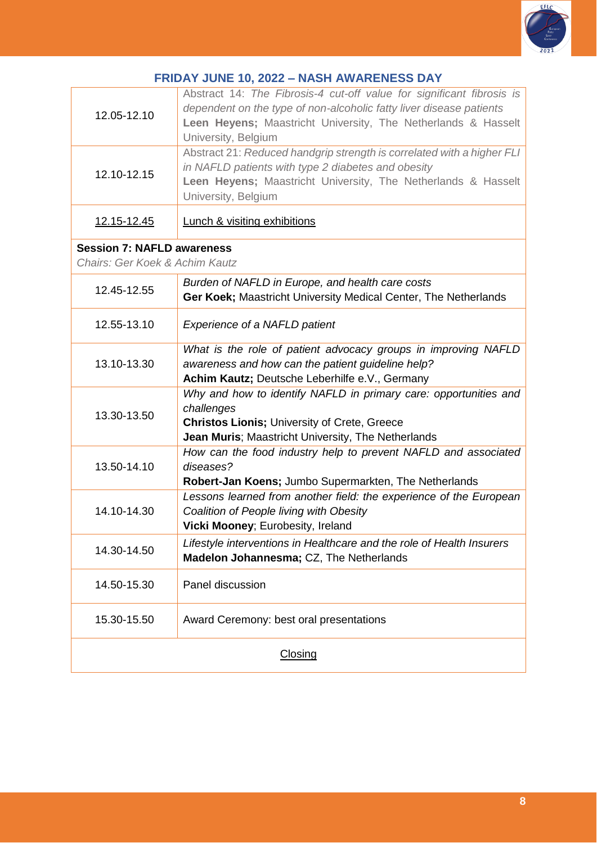

| <b>FRIDAY JUNE 10, 2022 - NASH AWARENESS DAY</b>                    |                                                                                                                                                                                                                                      |  |
|---------------------------------------------------------------------|--------------------------------------------------------------------------------------------------------------------------------------------------------------------------------------------------------------------------------------|--|
| 12.05-12.10                                                         | Abstract 14: The Fibrosis-4 cut-off value for significant fibrosis is<br>dependent on the type of non-alcoholic fatty liver disease patients<br>Leen Heyens; Maastricht University, The Netherlands & Hasselt<br>University, Belgium |  |
| 12.10-12.15                                                         | Abstract 21: Reduced handgrip strength is correlated with a higher FLI<br>in NAFLD patients with type 2 diabetes and obesity<br>Leen Heyens; Maastricht University, The Netherlands & Hasselt<br>University, Belgium                 |  |
| <u>12.15-12.45</u>                                                  | <b>Lunch &amp; visiting exhibitions</b>                                                                                                                                                                                              |  |
| <b>Session 7: NAFLD awareness</b><br>Chairs: Ger Koek & Achim Kautz |                                                                                                                                                                                                                                      |  |
| 12.45-12.55                                                         | Burden of NAFLD in Europe, and health care costs<br>Ger Koek; Maastricht University Medical Center, The Netherlands                                                                                                                  |  |
| 12.55-13.10                                                         | Experience of a NAFLD patient                                                                                                                                                                                                        |  |
| 13.10-13.30                                                         | What is the role of patient advocacy groups in improving NAFLD<br>awareness and how can the patient guideline help?<br>Achim Kautz; Deutsche Leberhilfe e.V., Germany                                                                |  |
| 13.30-13.50                                                         | Why and how to identify NAFLD in primary care: opportunities and<br>challenges<br><b>Christos Lionis; University of Crete, Greece</b><br>Jean Muris; Maastricht University, The Netherlands                                          |  |
| 13.50-14.10                                                         | How can the food industry help to prevent NAFLD and associated<br>diseases?<br>Robert-Jan Koens; Jumbo Supermarkten, The Netherlands                                                                                                 |  |
| 14.10-14.30                                                         | Lessons learned from another field: the experience of the European<br>Coalition of People living with Obesity<br>Vicki Mooney; Eurobesity, Ireland                                                                                   |  |
| 14.30-14.50                                                         | Lifestyle interventions in Healthcare and the role of Health Insurers<br><b>Madelon Johannesma; CZ, The Netherlands</b>                                                                                                              |  |
| 14.50-15.30                                                         | Panel discussion                                                                                                                                                                                                                     |  |
| 15.30-15.50                                                         | Award Ceremony: best oral presentations                                                                                                                                                                                              |  |
| <b>Closing</b>                                                      |                                                                                                                                                                                                                                      |  |